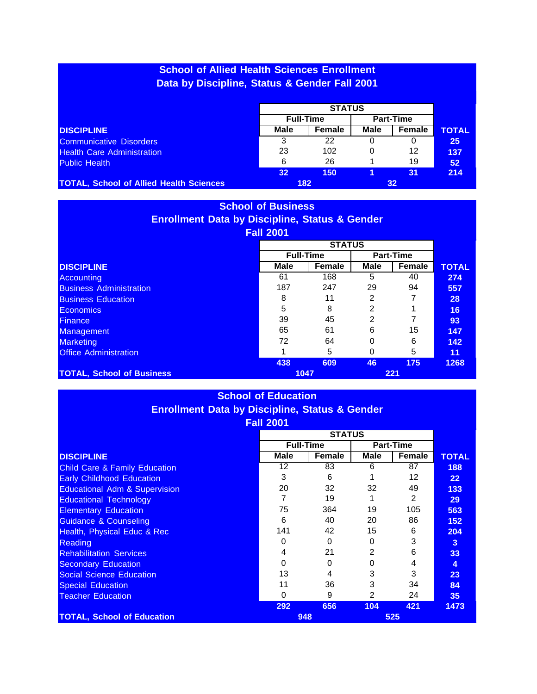# **School of Allied Health Sciences Enrollment Data by Discipline, Status & Gender Fall 2001**

|                                                |      | <b>Full-Time</b> |             | <b>Part-Time</b> |              |
|------------------------------------------------|------|------------------|-------------|------------------|--------------|
| <b>DISCIPLINE</b>                              | Male | Female           | <b>Male</b> | Female           | <b>TOTAL</b> |
| <b>Communicative Disorders</b>                 | 3    | 22               |             | 0                | 25           |
| <b>Health Care Administration</b>              | 23   | 102              |             | 12               | 137          |
| <b>Public Health</b>                           | 6    | 26               |             | 19               | 52           |
|                                                | 32   | 150              |             | 31               | 214          |
| <b>TOTAL, School of Allied Health Sciences</b> |      | 182              |             | 32 <sub>2</sub>  |              |

#### **School of Business Enrollment Data by Discipline, Status & Gender Fall 2001**

|                                  |             | <b>STATUS</b>    |             |                  |              |
|----------------------------------|-------------|------------------|-------------|------------------|--------------|
|                                  |             | <b>Full-Time</b> |             | <b>Part-Time</b> |              |
| <b>DISCIPLINE</b>                | <b>Male</b> | <b>Female</b>    | <b>Male</b> | Female           | <b>TOTAL</b> |
| Accounting                       | 61          | 168              | 5           | 40               | 274          |
| <b>Business Administration</b>   | 187         | 247              | 29          | 94               | 557          |
| <b>Business Education</b>        | 8           | 11               | 2           |                  | 28           |
| <b>Economics</b>                 | 5           | 8                | 2           |                  | 16           |
| Finance,                         | 39          | 45               | 2           |                  | 93           |
| Management                       | 65          | 61               | 6           | 15               | 147          |
| <b>Marketing</b>                 | 72          | 64               | 0           | 6                | 142          |
| <b>Office Administration</b>     |             | 5                | $\Omega$    | 5                | 11           |
|                                  | 438         | 609              | 46          | 175              | 1268         |
| <b>TOTAL, School of Business</b> |             | 1047             |             | 221              |              |

#### **School of Education Enrollment Data by Discipline, Status & Gender Fall 2001**

|                                          | I AII LUVI  |                  |               |                  |                 |  |
|------------------------------------------|-------------|------------------|---------------|------------------|-----------------|--|
|                                          |             | <b>STATUS</b>    |               |                  |                 |  |
|                                          |             | <b>Full-Time</b> |               | <b>Part-Time</b> |                 |  |
| <b>DISCIPLINE</b>                        | <b>Male</b> | Female           | <b>Male</b>   | Female           | <b>TOTAL</b>    |  |
| <b>Child Care &amp; Family Education</b> | 12          | 83               | 6             | 87               | 188             |  |
| <b>Early Childhood Education</b>         | 3           | 6                |               | 12               | 22 <sub>2</sub> |  |
| <b>Educational Adm &amp; Supervision</b> | 20          | 32               | 32            | 49               | 133             |  |
| <b>Educational Technology</b>            |             | 19               |               | 2                | 29              |  |
| <b>Elementary Education</b>              | 75          | 364              | 19            | 105              | 563             |  |
| <b>Guidance &amp; Counseling</b>         | 6           | 40               | 20            | 86               | 152             |  |
| Health, Physical Educ & Rec              | 141         | 42               | 15            | 6                | 204             |  |
| <b>Reading</b>                           | 0           | 0                | 0             | 3                | 3               |  |
| <b>Rehabilitation Services</b>           | 4           | 21               | 2             | 6                | 33              |  |
| <b>Secondary Education</b>               | 0           |                  | O             | 4                | 4               |  |
| <b>Social Science Education</b>          | 13          |                  | 3             | 3                | 23              |  |
| <b>Special Education</b>                 | 11          | 36               | 3             | 34               | 84              |  |
| <b>Teacher Education</b>                 | $\Omega$    | 9                | $\mathcal{P}$ | 24               | 35              |  |
|                                          | 292         | 656              | 104           | 421              | 1473            |  |
| <b>TOTAL, School of Education</b>        |             | 948              |               | 525              |                 |  |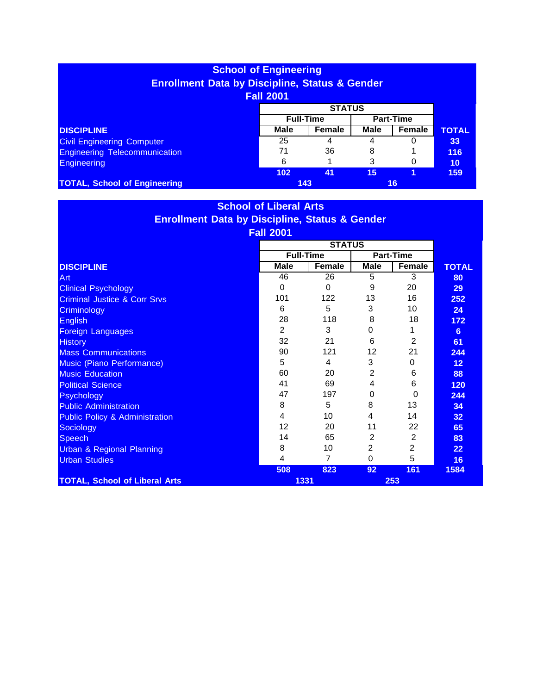| <b>School of Engineering</b><br><b>Enrollment Data by Discipline, Status &amp; Gender</b><br><b>Fall 2001</b> |                                      |        |      |        |              |  |
|---------------------------------------------------------------------------------------------------------------|--------------------------------------|--------|------|--------|--------------|--|
| <b>STATUS</b>                                                                                                 |                                      |        |      |        |              |  |
|                                                                                                               | <b>Full-Time</b><br><b>Part-Time</b> |        |      |        |              |  |
| <b>DISCIPLINE</b>                                                                                             | <b>Male</b>                          | Female | Male | Female | <b>TOTAL</b> |  |
| <b>Civil Engineering Computer</b>                                                                             | 25                                   | 4      | 4    |        | 33           |  |
| <b>Engineering Telecommunication</b>                                                                          | 71                                   | 36     | 8    |        | 116          |  |
| <b>Engineering</b>                                                                                            | 6                                    |        | 3    | 0      | 10           |  |
|                                                                                                               | 102                                  | 41     | 15   |        | 159          |  |
| <b>TOTAL, School of Engineering</b>                                                                           |                                      | 143    |      | 16     |              |  |

# **School of Liberal Arts Enrollment Data by Discipline, Status & Gender Fall 2001**

|                                           | <b>STATUS</b> |                  |                |                  |                   |
|-------------------------------------------|---------------|------------------|----------------|------------------|-------------------|
|                                           |               | <b>Full-Time</b> |                | <b>Part-Time</b> |                   |
| <b>DISCIPLINE</b>                         | <b>Male</b>   | Female           | <b>Male</b>    | Female           | <b>TOTAL</b>      |
| Art                                       | 46            | 26               | 5              | 3                | 80                |
| <b>Clinical Psychology</b>                | $\Omega$      | $\Omega$         | 9              | 20               | 29                |
| <b>Criminal Justice &amp; Corr Srvs</b>   | 101           | 122              | 13             | 16               | 252               |
| Criminology                               | 6             | 5                | 3              | 10               | 24                |
| English                                   | 28            | 118              | 8              | 18               | 172               |
| <b>Foreign Languages</b>                  | 2             | 3                | 0              |                  | 6                 |
| <b>History</b>                            | 32            | 21               | 6              | 2                | 61                |
| <b>Mass Communications</b>                | 90            | 121              | 12             | 21               | 244               |
| Music (Piano Performance)                 | 5             | 4                | 3              | $\Omega$         | 12                |
| <b>Music Education</b>                    | 60            | 20               | $\overline{2}$ | 6                | 88                |
| <b>Political Science</b>                  | 41            | 69               | 4              | 6                | 120               |
| Psychology                                | 47            | 197              | $\Omega$       | $\Omega$         | 244               |
| <b>Public Administration</b>              | 8             | 5                | 8              | 13               | 34                |
| <b>Public Policy &amp; Administration</b> | 4             | 10               | 4              | 14               | 32                |
| Sociology                                 | 12            | 20               | 11             | 22               | 65                |
| <b>Speech</b>                             | 14            | 65               | 2              | 2                | 83                |
| <b>Urban &amp; Regional Planning</b>      | 8             | 10               | 2              | 2                | $22 \overline{)}$ |
| <b>Urban Studies</b>                      | 4             | 7                | $\Omega$       | 5                | 16                |
|                                           | 508           | 823              | 92             | 161              | 1584              |
| <b>TOTAL, School of Liberal Arts</b>      |               | 1331             | 253            |                  |                   |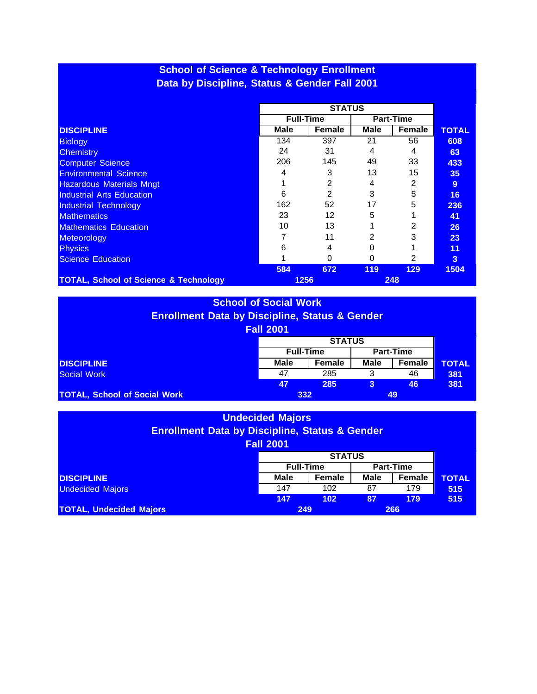# **School of Science & Technology Enrollment Data by Discipline, Status & Gender Fall 2001**

|                                                  |             | <b>Full-Time</b> |      | <b>Part-Time</b> |              |
|--------------------------------------------------|-------------|------------------|------|------------------|--------------|
| <b>DISCIPLINE</b>                                | <b>Male</b> | Female           | Male | Female           | <b>TOTAL</b> |
| <b>Biology</b>                                   | 134         | 397              | 21   | 56               | 608          |
| <b>Chemistry</b>                                 | 24          | 31               | 4    | 4                | 63           |
| <b>Computer Science</b>                          | 206         | 145              | 49   | 33               | 433          |
| <b>Environmental Science</b>                     | 4           | 3                | 13   | 15               | 35           |
| <b>Hazardous Materials Mngt</b>                  |             | 2                | 4    | 2                | 9            |
| <b>Industrial Arts Education</b>                 | 6           | $\mathcal{P}$    | 3    | 5                | 16           |
| <b>Industrial Technology</b>                     | 162         | 52               | 17   | 5                | 236          |
| <b>Mathematics</b>                               | 23          | 12               | 5    |                  | 41           |
| <b>Mathematics Education</b>                     | 10          | 13               |      | 2                | 26           |
| Meteorology                                      |             | 11               | 2    | 3                | 23           |
| <b>Physics</b>                                   | 6           |                  |      |                  | 11           |
| <b>Science Education</b>                         |             | $\Omega$         | 0    | 2                | 3            |
|                                                  | 584         | 672              | 119  | 129              | 1504         |
| <b>TOTAL, School of Science &amp; Technology</b> |             | 1256             |      | 248              |              |

#### **School of Social Work Enrollment Data by Discipline, Status & Gender Fall 2001**

|                                     | I GILLOUI |                  |             |                  |              |
|-------------------------------------|-----------|------------------|-------------|------------------|--------------|
|                                     |           |                  |             |                  |              |
|                                     |           | <b>Full-Time</b> |             | <b>Part-Time</b> |              |
| <b>DISCIPLINE</b>                   | Male      | <b>Female</b>    | <b>Male</b> | Female           | <b>TOTAL</b> |
| Social Work                         | 47        | 285              |             | 46               | 381          |
|                                     | 47        | 285              | 3           | 46               | 381          |
| <b>TOTAL, School of Social Work</b> |           | 332              |             | 49               |              |

| <b>Undecided Majors</b><br><b>Enrollment Data by Discipline, Status &amp; Gender</b><br><b>Fall 2001</b> |                  |        |             |        |              |  |
|----------------------------------------------------------------------------------------------------------|------------------|--------|-------------|--------|--------------|--|
|                                                                                                          | <b>STATUS</b>    |        |             |        |              |  |
|                                                                                                          | <b>Full-Time</b> |        |             |        |              |  |
| <b>DISCIPLINE</b>                                                                                        | <b>Male</b>      | Female | <b>Male</b> | Female | <b>TOTAL</b> |  |
| <b>Undecided Majors</b>                                                                                  | 147              | 102    | 87          | 179    | 515          |  |
|                                                                                                          | 147              | 102    | 87          | 179    | 515          |  |
| <b>TOTAL, Undecided Majors</b>                                                                           | 249              |        |             |        |              |  |